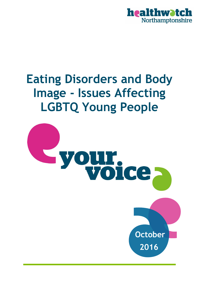

# **Eating Disorders and Body Image - Issues Affecting LGBTQ Young People**

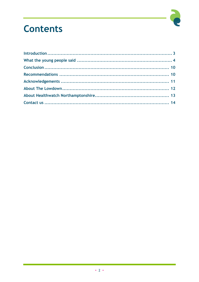

## **Contents**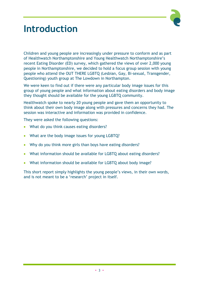

## **Introduction**

Children and young people are increasingly under pressure to conform and as part of Healthwatch Northamptonshire and Young Healthwatch Northamptonshire's recent Eating Disorder (ED) survey, which gathered the views of over 2,000 young people in Northamptonshire, we decided to hold a focus group session with young people who attend the OUT THERE LGBTQ (Lesbian, Gay, Bi-sexual, Transgender, Questioning) youth group at The Lowdown in Northampton.

We were keen to find out if there were any particular body image issues for this group of young people and what information about eating disorders and body image they thought should be available for the young LGBTQ community.

Healthwatch spoke to nearly 20 young people and gave them an opportunity to think about their own body image along with pressures and concerns they had. The session was interactive and information was provided in confidence.

They were asked the following questions:

- What do you think causes eating disorders?
- What are the body image issues for young LGBTQ?
- Why do you think more girls than boys have eating disorders?
- What information should be available for LGBTQ about eating disorders?
- What information should be available for LGBTQ about body image?

This short report simply highlights the young people's views, in their own words, and is not meant to be a 'research' project in itself.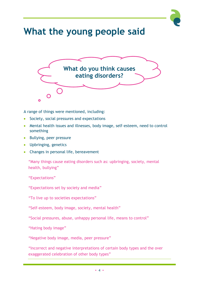# **What the young people said**



A range of things were mentioned, including:

- Society, social pressures and expectations
- Mental health issues and illnesses, body image, self-esteem, need to control something
- Bullying, peer pressure
- Upbringing, genetics
- Changes in personal life, bereavement

"Many things cause eating disorders such as: upbringing, society, mental health, bullying"

"Expectations"

"Expectations set by society and media"

"To live up to societies expectations"

"Self-esteem, body image, society, mental health"

"Social pressures, abuse, unhappy personal life, means to control"

"Hating body image"

"Negative body image, media, peer pressure"

"Incorrect and negative interpretations of certain body types and the over exaggerated celebration of other body types"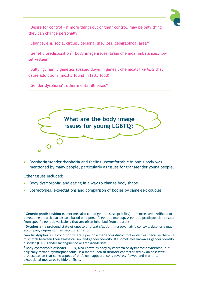

"Desire for control – if more things out of their control, may be only thing they can change personally"

"Change, e.g. social circles, personal life, loss, geographical area"

"Genetic predisposition<sup>1</sup>, body image issues, brain chemical imbalances, low self-esteem"

"Bullying, family genetics (passed down in genes), chemicals like MSG that cause addictions (mostly found in fatty food)"

"Gender dysphoria<sup>2</sup>, other mental illnesses"



 Dysphoria/gender dysphoria and feeling uncomfortable in one's body was mentioned by many people, particularly as issues for transgender young people.

Other issues included:

 $\overline{a}$ 

- $\bullet$  Body dysmorphia<sup>3</sup> and eating in a way to change body shape
- Stereotypes, expectations and comparison of bodies by same-sex couples

<sup>1</sup> **Genetic predisposition** (sometimes also called genetic susceptibility) - an increased likelihood of developing a particular disease based on a person's genetic makeup. A genetic predisposition results from specific genetic variations that are often inherited from a parent.

<sup>2</sup> **Dysphoria** – a profound state of unease or dissatisfaction. In a psychiatric context, dysphoria may accompany depression, anxiety, or agitation.

**Gender dysphoria** - a condition where a person experiences discomfort or distress because there's a mismatch between their biological sex and gender identity. It's sometimes known as gender identity disorder (GID), gender incongruence or transgenderism.

<sup>3</sup> **Body dysmorphic disorder** (BDD), also known as body dysmorphia or dysmorphic syndrome, but originally termed dysmorphophobia, is a mental health disorder characterised by an obsessive preoccupation that some aspect of one's own appearance is severely flawed and warrants exceptional measures to hide or fix it.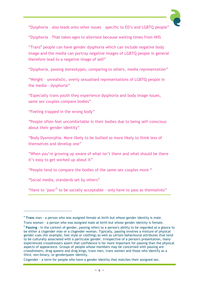

"Dysphoria – also leads onto other issues – specific to ED's and LGBTQ people"

"Dysphoria – That takes ages to alleviate because waiting times from NHS

"Trans<sup>4</sup> people can have gender dysphoria which can include negative body image and the media can portray negative images of LGBTQ people in general therefore lead to a negative image of self"

"Dysphoria, passing stereotypes, comparing to others, media representation"

"Weight – unrealistic, overly sexualised representations of LGBTQ people in the media – dysphoria"

"Especially trans youth they experience dysphoria and body image issues, same sex couples compare bodies"

"Feeling trapped in the wrong body"

"People often feel uncomfortable in their bodies due to being self-conscious about their gender identity"

"Body Dysmorphia. More likely to be bullied so more likely to think less of themselves and develop one"

"When you're growing up aware of what isn't there and what should be there it's easy to get worked up about it"

"People tend to compare the bodies of the same-sex couples more "

"Social media, standards set by others"

 $\overline{a}$ 

"Have to 'pass'<sup>5</sup> to be socially acceptable - only have to pass as themselves"

<sup>4</sup> **Trans** man - a person who was assigned female at birth but whose gender identity is male.

Trans woman - a person who was assigned male at birth but whose gender identity is female.

<sup>5</sup> **Passing** - In the context of gender, passing refers to a person's ability to be regarded at a glance to be either a cisgender man or a cisgender woman. Typically, passing involves a mixture of physical gender cues (for example, hair style or clothing) as well as certain behavioural attributes that tend to be culturally associated with a particular gender. Irrespective of a person's presentation, many experienced crossdressers assert that confidence is far more important for passing than the physical aspects of appearance. Groups of people whose members may be concerned with passing are crossdressers, drag queens and drag kings, trans men, trans women and those who identify as a third, non-binary, or genderqueer identity.

Cisgender - a term for people who have a gender identity that matches their assigned sex.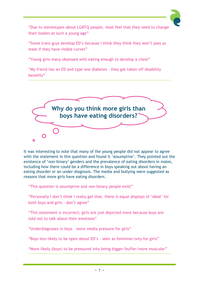

"Due to stereotypes about LGBTQ people, most feel that they need to change their bodies at such a young age"

"Some trans guys develop ED's because I think they think they won't pass as male if they have visible curves"

"Young girls many obsessed with eating enough to develop a chest"

"My friend has an ED and type one diabetes – they got taken off disability benefits"



It was interesting to note that many of the young people did not appear to agree with the statement in this question and found it 'assumptive'. They pointed out the existence of 'non-binary' genders and the prevalence of eating disorders in males, including how there could be a difference in boys speaking out about having an eating disorder or an under-diagnosis. The media and bullying were suggested as reasons that more girls have eating disorders.

"This question is assumptive and non-binary people exist"

"Personally I don't think I really get that, there is equal displays of 'ideal' for both boys and girls - don't agree"

"This statement is incorrect; girls are just depicted more because boys are told not to talk about their emotions"

"Underdiagnoses in boys – more media pressure for girls"

"Boys less likely to be open about ED's - seen as feminine/only for girls"

"More likely (boys) to be pressured into being bigger/buffer/more muscular"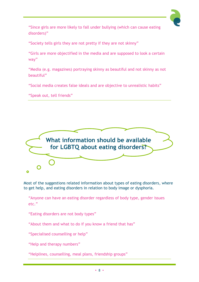

"Since girls are more likely to fall under bullying (which can cause eating disorders)"

"Society tells girls they are not pretty if they are not skinny"

"Girls are more objectified in the media and are supposed to look a certain way"

"Media (e.g. magazines) portraying skinny as beautiful and not skinny as not beautiful"

"Social media creates false ideals and are objective to unrealistic habits"

"Speak out, tell friends"



Most of the suggestions related information about types of eating disorders, where to get help, and eating disorders in relation to body image or dysphoria.

"Anyone can have an eating disorder regardless of body type, gender issues etc."

"Eating disorders are not body types"

"About them and what to do if you know a friend that has"

"Specialised counselling or help"

"Help and therapy numbers"

"Helplines, counselling, meal plans, friendship groups"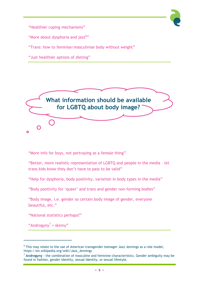

"Healthier coping mechanisms"

"More about dysphoria and jazz<sup>6</sup>"

"Trans: how to feminise/masculinise body without weight"

"Just healthier options of dieting"



"More info for boys, not portraying as a female thing"

"Better, more realistic representation of LGBTQ and people in the media – let trans kids know they don't have to pass to be valid"

"Help for dysphoria, body positivity, variation in body types in the media"

"Body positivity for 'queer' and trans and gender non-forming bodies"

"Body image, i.e. gender so certain body image of gender, everyone beautiful, etc."

"National statistics perhaps?"

"Androgyny<sup>7</sup> = skinny"

j

 $<sup>6</sup>$  This may relate to the use of American transgender teenager Jazz Jennings as a role model,</sup> https://en.wikipedia.org/wiki/Jazz\_Jennings

<sup>7</sup> **Androgyny** - the combination of masculine and feminine characteristics. Gender ambiguity may be found in fashion, gender identity, sexual identity, or sexual lifestyle.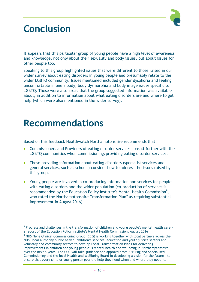

## **Conclusion**

It appears that this particular group of young people have a high level of awareness and knowledge, not only about their sexuality and body issues, but about issues for other people too.

Speaking to this group highlighted issues that were different to those raised in our wider survey about eating disorders in young people and presumably relate to the wider LGBTQ community. Issues mentioned included gender dysphoria and feeling uncomfortable in one's body, body dysmorphia and body image issues specific to LGBTQ. These were also areas that the group suggested information was available about, in addition to information about what eating disorders are and where to get help (which were also mentioned in the wider survey).

#### **Recommendations**

j

Based on this feedback Healthwatch Northamptonshire recommends that:

- Commissioners and Providers of eating disorder services consult further with the LGBTQ communities when commissioning/providing eating disorder services.
- Those providing information about eating disorders (specialist services and general services, such as schools) consider how to address the issues raised by this group.
- Young people are involved in co-producing information and services for people with eating disorders and the wider population (co-production of services is recommended by the Education Policy Institute's Mental Health Commission<sup>8</sup>, who rated the Northamptonshire Transformation Plan<sup>9</sup> as requiring substantial improvement in August 2016).

 $^8$  Progress and challenges in the transformation of children and young people's mental health care a report of the Education Policy Institute's Mental Health Commission, August 2016

<sup>&</sup>lt;sup>9</sup> NHS Nene Clinical Commissioning Group (CCG) is working together with local partners across the NHS, local authority public health, children's services, education and youth justice sectors and voluntary and community sectors to develop Local Transformation Plans for delivering improvements in children and young people' s mental health and wellbeing in Northamptonshire over the next 5 years. The CCG will take guidance and approval from NHS England Specialised Commissioning and the local Health and Wellbeing Board in developing a vision for the future - to ensure that every child or young person gets the help they need when and where they need it.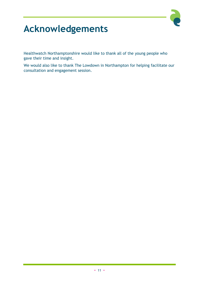

# **Acknowledgements**

Healthwatch Northamptonshire would like to thank all of the young people who gave their time and insight.

We would also like to thank The Lowdown in Northampton for helping facilitate our consultation and engagement session.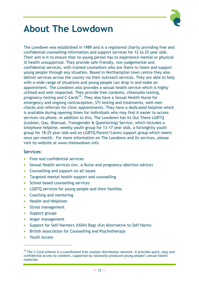

## **About The Lowdown**

The Lowdown was established in 1989 and is a registered charity providing free and confidential counselling information and support services for 12 to 25 year olds. Their aim is it to ensure that no young person has to experience mental or physical ill health unsupported. They provide safe friendly, non-judgemental and confidential services, with trained counsellors who are there to listen and support young people through any situation. Based in Northampton town centre they also deliver services across the county via their outreach services. They are able to help with a wide range of situations and young people can drop in and make an appointment. The Lowdown also provides a sexual health service which is highly utilised and well respected. They provide free condoms, chlamydia testing, pregnancy testing and C-Cards<sup>10</sup>. They also have a Sexual Health Nurse for emergency and ongoing contraception, STI testing and treatments, well-men checks and referrals for clinic appointments. They have a dedicated helpline which is available during opening times for individuals who may find it easier to access services via phone. In addition to this, The Lowdown has its Out There LGBTQ (Lesbian, Gay, Bisexual, Transgender & Questioning) Service, which includes a telephone helpline, weekly youth group for 13-17 year olds, a fortnightly youth group for 18-25 year olds and an LGBTQ Parent/Carers support group which meets once per month. For more information on The Lowdown and its services, please visit its website at www.thelowdown.info

#### **Services:**

- Free and confidential services
- Sexual Health services (inc. a Nurse and pregnancy/abortion advice)
- Counselling and support on all issues
- Targeted mental health support and counselling
- School based counselling services
- LGBTQ services for young people and their families
- Coaching and mentoring
- Health and Helplines
- Stress management
- Support groups
- Anger management
- Support for Self-Harmers (fASH) Bags (fun Alternative to Self Harm)
- British Association for Counselling and Psychotherapy
- Youth Access

j

 $10$  The C-Card scheme is a coordinated free condom distribution network. It provides quick, easy and confidential access to condoms, supported by nationally produced young people's sexual health materials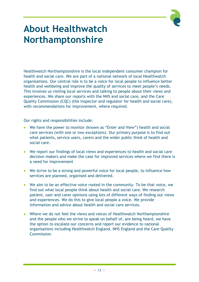

#### **About Healthwatch Northamptonshire**

Healthwatch Northamptonshire is the local independent consumer champion for health and social care. We are part of a national network of local Healthwatch organisations. Our central role is to be a voice for local people to influence better health and wellbeing and improve the quality of services to meet people's needs. This involves us visiting local services and talking to people about their views and experiences. We share our reports with the NHS and social care, and the Care Quality Commission (CQC) (the inspector and regulator for health and social care), with recommendations for improvement, where required.

Our rights and responsibilities include:

- We have the power to monitor (known as "Enter and View") health and social care services (with one or two exceptions). Our primary purpose is to find out what patients, service users, carers and the wider public think of health and social care.
- We report our findings of local views and experiences to health and social care decision makers and make the case for improved services where we find there is a need for improvement
- We strive to be a strong and powerful voice for local people, to influence how services are planned, organised and delivered.
- We aim to be an effective voice rooted in the community. To be that voice, we find out what local people think about health and social care. We research patient, user and carer opinions using lots of different ways of finding out views and experiences. We do this to give local people a voice. We provide information and advice about health and social care services.
- Where we do not feel the views and voices of Healthwatch Northamptonshire and the people who we strive to speak on behalf of, are being heard, we have the option to escalate our concerns and report our evidence to national organisations including Healthwatch England, NHS England and the Care Quality Commission.